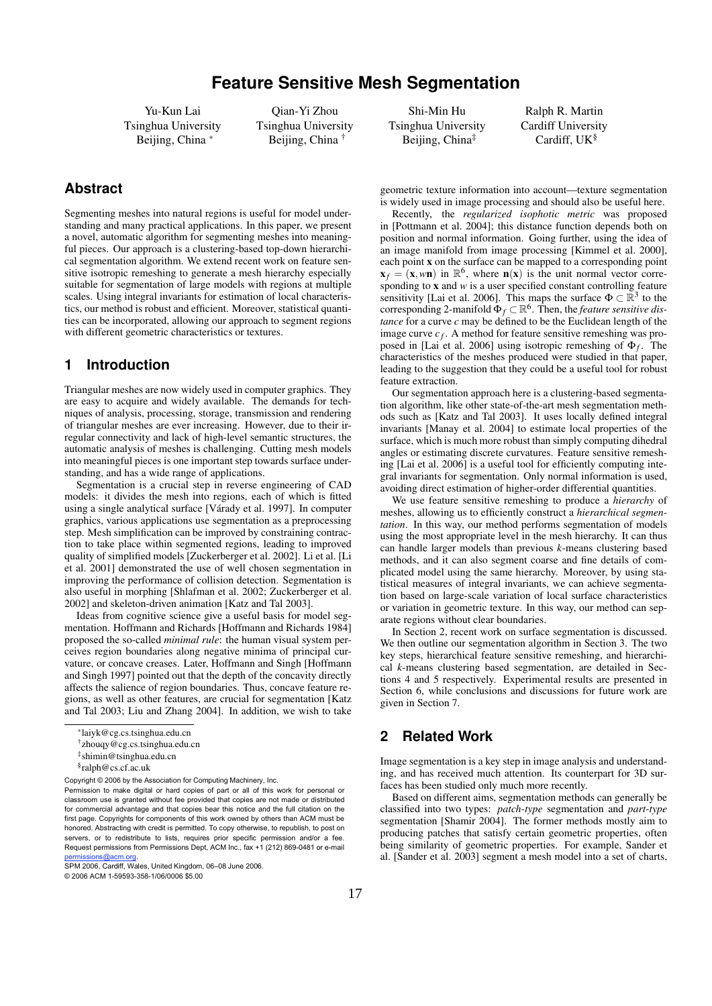Yu-Kun Lai Tsinghua University Beijing, China <sup>∗</sup>

Qian-Yi Zhou Tsinghua University Beijing, China †

# **Abstract**

Segmenting meshes into natural regions is useful for model understanding and many practical applications. In this paper, we present a novel, automatic algorithm for segmenting meshes into meaningful pieces. Our approach is a clustering-based top-down hierarchical segmentation algorithm. We extend recent work on feature sensitive isotropic remeshing to generate a mesh hierarchy especially suitable for segmentation of large models with regions at multiple scales. Using integral invariants for estimation of local characteristics, our method is robust and efficient. Moreover, statistical quantities can be incorporated, allowing our approach to segment regions with different geometric characteristics or textures.

# **1 Introduction**

Triangular meshes are now widely used in computer graphics. They are easy to acquire and widely available. The demands for techniques of analysis, processing, storage, transmission and rendering of triangular meshes are ever increasing. However, due to their irregular connectivity and lack of high-level semantic structures, the automatic analysis of meshes is challenging. Cutting mesh models into meaningful pieces is one important step towards surface understanding, and has a wide range of applications.

Segmentation is a crucial step in reverse engineering of CAD models: it divides the mesh into regions, each of which is fitted using a single analytical surface [Várady et al. 1997]. In computer graphics, various applications use segmentation as a preprocessing step. Mesh simplification can be improved by constraining contraction to take place within segmented regions, leading to improved quality of simplified models [Zuckerberger et al. 2002]. Li et al. [Li et al. 2001] demonstrated the use of well chosen segmentation in improving the performance of collision detection. Segmentation is also useful in morphing [Shlafman et al. 2002; Zuckerberger et al. 2002] and skeleton-driven animation [Katz and Tal 2003].

Ideas from cognitive science give a useful basis for model segmentation. Hoffmann and Richards [Hoffmann and Richards 1984] proposed the so-called *minimal rule*: the human visual system perceives region boundaries along negative minima of principal curvature, or concave creases. Later, Hoffmann and Singh [Hoffmann and Singh 1997] pointed out that the depth of the concavity directly affects the salience of region boundaries. Thus, concave feature regions, as well as other features, are crucial for segmentation [Katz and Tal 2003; Liu and Zhang 2004]. In addition, we wish to take

Copyright © 2006 by the Association for Computing Machinery, Inc.

© 2006 ACM 1-59593-358-1/06/0006 \$5.00

Shi-Min Hu Tsinghua University Beijing, China‡

Ralph R. Martin Cardiff University Cardiff,  $UK<sup>§</sup>$ 

geometric texture information into account—texture segmentation is widely used in image processing and should also be useful here.

Recently, the *regularized isophotic metric* was proposed in [Pottmann et al. 2004]; this distance function depends both on position and normal information. Going further, using the idea of an image manifold from image processing [Kimmel et al. 2000], each point x on the surface can be mapped to a corresponding point  $\mathbf{x}_f = (\mathbf{x}, w\mathbf{n})$  in  $\mathbb{R}^6$ , where  $\mathbf{n}(\mathbf{x})$  is the unit normal vector corresponding to x and *w* is a user specified constant controlling feature sensitivity [Lai et al. 2006]. This maps the surface  $\Phi \subset \mathbb{R}^3$  to the corresponding 2-manifold  $\Phi_f \subset \mathbb{R}^6$ . Then, the *feature sensitive distance* for a curve *c* may be defined to be the Euclidean length of the image curve  $c_f$ . A method for feature sensitive remeshing was proposed in [Lai et al. 2006] using isotropic remeshing of Φ*<sup>f</sup>* . The characteristics of the meshes produced were studied in that paper, leading to the suggestion that they could be a useful tool for robust feature extraction.

Our segmentation approach here is a clustering-based segmentation algorithm, like other state-of-the-art mesh segmentation methods such as [Katz and Tal 2003]. It uses locally defined integral invariants [Manay et al. 2004] to estimate local properties of the surface, which is much more robust than simply computing dihedral angles or estimating discrete curvatures. Feature sensitive remeshing [Lai et al. 2006] is a useful tool for efficiently computing integral invariants for segmentation. Only normal information is used, avoiding direct estimation of higher-order differential quantities.

We use feature sensitive remeshing to produce a *hierarchy* of meshes, allowing us to efficiently construct a *hierarchical segmentation*. In this way, our method performs segmentation of models using the most appropriate level in the mesh hierarchy. It can thus can handle larger models than previous *k*-means clustering based methods, and it can also segment coarse and fine details of complicated model using the same hierarchy. Moreover, by using statistical measures of integral invariants, we can achieve segmentation based on large-scale variation of local surface characteristics or variation in geometric texture. In this way, our method can separate regions without clear boundaries.

In Section 2, recent work on surface segmentation is discussed. We then outline our segmentation algorithm in Section 3. The two key steps, hierarchical feature sensitive remeshing, and hierarchical *k*-means clustering based segmentation, are detailed in Sections 4 and 5 respectively. Experimental results are presented in Section 6, while conclusions and discussions for future work are given in Section 7.

# **2 Related Work**

Image segmentation is a key step in image analysis and understanding, and has received much attention. Its counterpart for 3D surfaces has been studied only much more recently.

Based on different aims, segmentation methods can generally be classified into two types: *patch-type* segmentation and *part-type* segmentation [Shamir 2004]. The former methods mostly aim to producing patches that satisfy certain geometric properties, often being similarity of geometric properties. For example, Sander et al. [Sander et al. 2003] segment a mesh model into a set of charts,

<sup>∗</sup> laiyk@cg.cs.tsinghua.edu.cn

<sup>†</sup> zhouqy@cg.cs.tsinghua.edu.cn

<sup>‡</sup> shimin@tsinghua.edu.cn

<sup>§</sup> ralph@cs.cf.ac.uk

Permission to make digital or hard copies of part or all of this work for personal or classroom use is granted without fee provided that copies are not made or distributed for commercial advantage and that copies bear this notice and the full citation on the first page. Copyrights for components of this work owned by others than ACM must be honored. Abstracting with credit is permitted. To copy otherwise, to republish, to post on servers, or to redistribute to lists, requires prior specific permission and/or a fee. Request permissions from Permissions Dept, ACM Inc., fax +1 (212) 869-0481 or e-mail s@acm.org

SPM 2006, Cardiff, Wales, United Kingdom, 06–08 June 2006.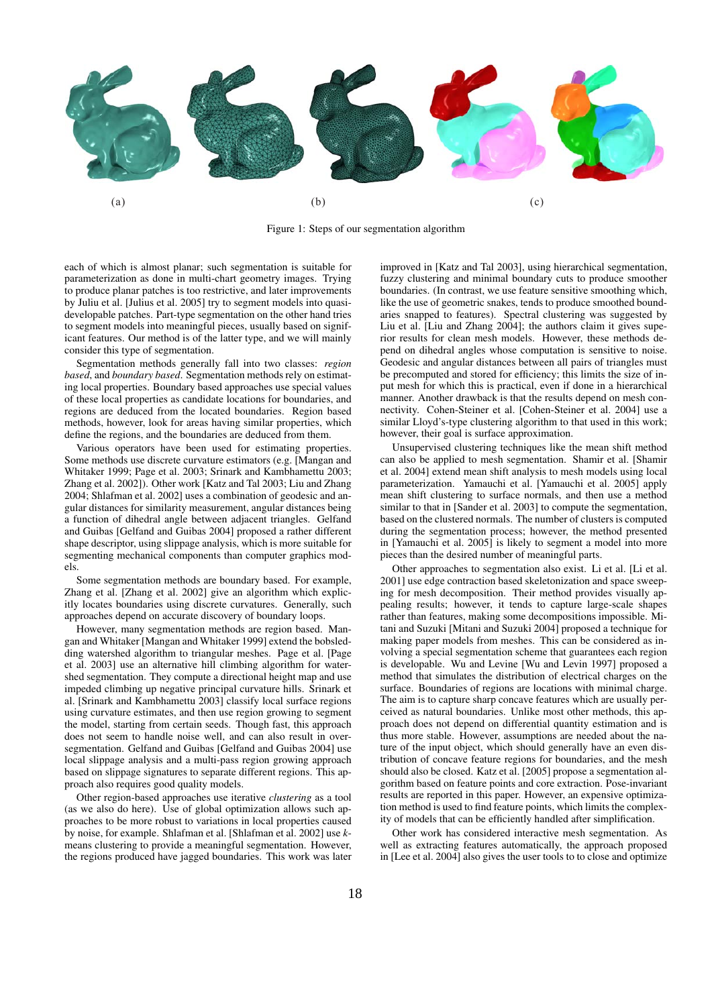

Figure 1: Steps of our segmentation algorithm

each of which is almost planar; such segmentation is suitable for parameterization as done in multi-chart geometry images. Trying to produce planar patches is too restrictive, and later improvements by Juliu et al. [Julius et al. 2005] try to segment models into quasidevelopable patches. Part-type segmentation on the other hand tries to segment models into meaningful pieces, usually based on significant features. Our method is of the latter type, and we will mainly consider this type of segmentation.

Segmentation methods generally fall into two classes: *region based*, and *boundary based*. Segmentation methods rely on estimating local properties. Boundary based approaches use special values of these local properties as candidate locations for boundaries, and regions are deduced from the located boundaries. Region based methods, however, look for areas having similar properties, which define the regions, and the boundaries are deduced from them.

Various operators have been used for estimating properties. Some methods use discrete curvature estimators (e.g. [Mangan and Whitaker 1999; Page et al. 2003; Srinark and Kambhamettu 2003; Zhang et al. 2002]). Other work [Katz and Tal 2003; Liu and Zhang 2004; Shlafman et al. 2002] uses a combination of geodesic and angular distances for similarity measurement, angular distances being a function of dihedral angle between adjacent triangles. Gelfand and Guibas [Gelfand and Guibas 2004] proposed a rather different shape descriptor, using slippage analysis, which is more suitable for segmenting mechanical components than computer graphics models.

Some segmentation methods are boundary based. For example, Zhang et al. [Zhang et al. 2002] give an algorithm which explicitly locates boundaries using discrete curvatures. Generally, such approaches depend on accurate discovery of boundary loops.

However, many segmentation methods are region based. Mangan and Whitaker [Mangan and Whitaker 1999] extend the bobsledding watershed algorithm to triangular meshes. Page et al. [Page et al. 2003] use an alternative hill climbing algorithm for watershed segmentation. They compute a directional height map and use impeded climbing up negative principal curvature hills. Srinark et al. [Srinark and Kambhamettu 2003] classify local surface regions using curvature estimates, and then use region growing to segment the model, starting from certain seeds. Though fast, this approach does not seem to handle noise well, and can also result in oversegmentation. Gelfand and Guibas [Gelfand and Guibas 2004] use local slippage analysis and a multi-pass region growing approach based on slippage signatures to separate different regions. This approach also requires good quality models.

Other region-based approaches use iterative *clustering* as a tool (as we also do here). Use of global optimization allows such approaches to be more robust to variations in local properties caused by noise, for example. Shlafman et al. [Shlafman et al. 2002] use *k*means clustering to provide a meaningful segmentation. However, the regions produced have jagged boundaries. This work was later improved in [Katz and Tal 2003], using hierarchical segmentation, fuzzy clustering and minimal boundary cuts to produce smoother boundaries. (In contrast, we use feature sensitive smoothing which, like the use of geometric snakes, tends to produce smoothed boundaries snapped to features). Spectral clustering was suggested by Liu et al. [Liu and Zhang 2004]; the authors claim it gives superior results for clean mesh models. However, these methods depend on dihedral angles whose computation is sensitive to noise. Geodesic and angular distances between all pairs of triangles must be precomputed and stored for efficiency; this limits the size of input mesh for which this is practical, even if done in a hierarchical manner. Another drawback is that the results depend on mesh connectivity. Cohen-Steiner et al. [Cohen-Steiner et al. 2004] use a similar Lloyd's-type clustering algorithm to that used in this work; however, their goal is surface approximation.

Unsupervised clustering techniques like the mean shift method can also be applied to mesh segmentation. Shamir et al. [Shamir et al. 2004] extend mean shift analysis to mesh models using local parameterization. Yamauchi et al. [Yamauchi et al. 2005] apply mean shift clustering to surface normals, and then use a method similar to that in [Sander et al. 2003] to compute the segmentation, based on the clustered normals. The number of clusters is computed during the segmentation process; however, the method presented in [Yamauchi et al. 2005] is likely to segment a model into more pieces than the desired number of meaningful parts.

Other approaches to segmentation also exist. Li et al. [Li et al. 2001] use edge contraction based skeletonization and space sweeping for mesh decomposition. Their method provides visually appealing results; however, it tends to capture large-scale shapes rather than features, making some decompositions impossible. Mitani and Suzuki [Mitani and Suzuki 2004] proposed a technique for making paper models from meshes. This can be considered as involving a special segmentation scheme that guarantees each region is developable. Wu and Levine [Wu and Levin 1997] proposed a method that simulates the distribution of electrical charges on the surface. Boundaries of regions are locations with minimal charge. The aim is to capture sharp concave features which are usually perceived as natural boundaries. Unlike most other methods, this approach does not depend on differential quantity estimation and is thus more stable. However, assumptions are needed about the nature of the input object, which should generally have an even distribution of concave feature regions for boundaries, and the mesh should also be closed. Katz et al. [2005] propose a segmentation algorithm based on feature points and core extraction. Pose-invariant results are reported in this paper. However, an expensive optimization method is used to find feature points, which limits the complexity of models that can be efficiently handled after simplification.

Other work has considered interactive mesh segmentation. As well as extracting features automatically, the approach proposed in [Lee et al. 2004] also gives the user tools to to close and optimize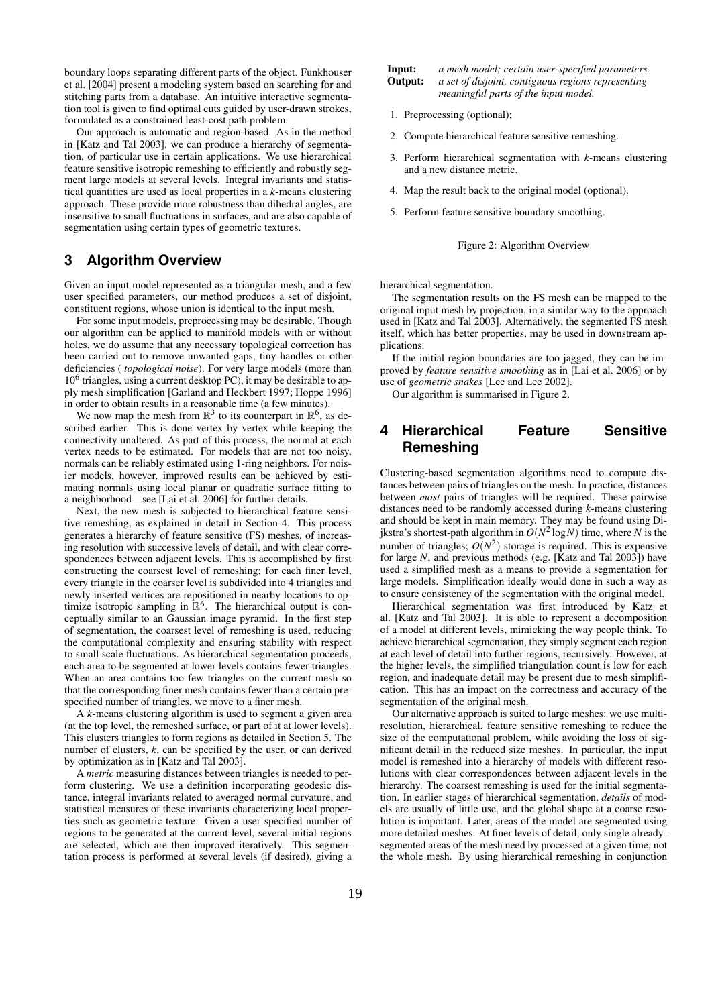boundary loops separating different parts of the object. Funkhouser et al. [2004] present a modeling system based on searching for and stitching parts from a database. An intuitive interactive segmentation tool is given to find optimal cuts guided by user-drawn strokes, formulated as a constrained least-cost path problem.

Our approach is automatic and region-based. As in the method in [Katz and Tal 2003], we can produce a hierarchy of segmentation, of particular use in certain applications. We use hierarchical feature sensitive isotropic remeshing to efficiently and robustly segment large models at several levels. Integral invariants and statistical quantities are used as local properties in a *k*-means clustering approach. These provide more robustness than dihedral angles, are insensitive to small fluctuations in surfaces, and are also capable of segmentation using certain types of geometric textures.

## **3 Algorithm Overview**

Given an input model represented as a triangular mesh, and a few user specified parameters, our method produces a set of disjoint, constituent regions, whose union is identical to the input mesh.

For some input models, preprocessing may be desirable. Though our algorithm can be applied to manifold models with or without holes, we do assume that any necessary topological correction has been carried out to remove unwanted gaps, tiny handles or other deficiencies ( *topological noise*). For very large models (more than 10<sup>6</sup> triangles, using a current desktop PC), it may be desirable to apply mesh simplification [Garland and Heckbert 1997; Hoppe 1996] in order to obtain results in a reasonable time (a few minutes).

We now map the mesh from  $\mathbb{R}^3$  to its counterpart in  $\mathbb{R}^6$ , as described earlier. This is done vertex by vertex while keeping the connectivity unaltered. As part of this process, the normal at each vertex needs to be estimated. For models that are not too noisy, normals can be reliably estimated using 1-ring neighbors. For noisier models, however, improved results can be achieved by estimating normals using local planar or quadratic surface fitting to a neighborhood—see [Lai et al. 2006] for further details.

Next, the new mesh is subjected to hierarchical feature sensitive remeshing, as explained in detail in Section 4. This process generates a hierarchy of feature sensitive (FS) meshes, of increasing resolution with successive levels of detail, and with clear correspondences between adjacent levels. This is accomplished by first constructing the coarsest level of remeshing; for each finer level, every triangle in the coarser level is subdivided into 4 triangles and newly inserted vertices are repositioned in nearby locations to optimize isotropic sampling in  $\mathbb{R}^6$ . The hierarchical output is conceptually similar to an Gaussian image pyramid. In the first step of segmentation, the coarsest level of remeshing is used, reducing the computational complexity and ensuring stability with respect to small scale fluctuations. As hierarchical segmentation proceeds, each area to be segmented at lower levels contains fewer triangles. When an area contains too few triangles on the current mesh so that the corresponding finer mesh contains fewer than a certain prespecified number of triangles, we move to a finer mesh.

A *k*-means clustering algorithm is used to segment a given area (at the top level, the remeshed surface, or part of it at lower levels). This clusters triangles to form regions as detailed in Section 5. The number of clusters, *k*, can be specified by the user, or can derived by optimization as in [Katz and Tal 2003].

A *metric* measuring distances between triangles is needed to perform clustering. We use a definition incorporating geodesic distance, integral invariants related to averaged normal curvature, and statistical measures of these invariants characterizing local properties such as geometric texture. Given a user specified number of regions to be generated at the current level, several initial regions are selected, which are then improved iteratively. This segmentation process is performed at several levels (if desired), giving a

#### Input: *a mesh model; certain user-specified parameters.* Output: *a set of disjoint, contiguous regions representing meaningful parts of the input model.*

- 1. Preprocessing (optional);
- 2. Compute hierarchical feature sensitive remeshing.
- 3. Perform hierarchical segmentation with *k*-means clustering and a new distance metric.
- 4. Map the result back to the original model (optional).
- 5. Perform feature sensitive boundary smoothing.

Figure 2: Algorithm Overview

hierarchical segmentation.

The segmentation results on the FS mesh can be mapped to the original input mesh by projection, in a similar way to the approach used in [Katz and Tal 2003]. Alternatively, the segmented FS mesh itself, which has better properties, may be used in downstream applications.

If the initial region boundaries are too jagged, they can be improved by *feature sensitive smoothing* as in [Lai et al. 2006] or by use of *geometric snakes* [Lee and Lee 2002].

Our algorithm is summarised in Figure 2.

## **4 Hierarchical Feature Sensitive Remeshing**

Clustering-based segmentation algorithms need to compute distances between pairs of triangles on the mesh. In practice, distances between *most* pairs of triangles will be required. These pairwise distances need to be randomly accessed during *k*-means clustering and should be kept in main memory. They may be found using Dijkstra's shortest-path algorithm in  $O(N^2 \log N)$  time, where *N* is the number of triangles;  $O(N^2)$  storage is required. This is expensive for large *N*, and previous methods (e.g. [Katz and Tal 2003]) have used a simplified mesh as a means to provide a segmentation for large models. Simplification ideally would done in such a way as to ensure consistency of the segmentation with the original model.

Hierarchical segmentation was first introduced by Katz et al. [Katz and Tal 2003]. It is able to represent a decomposition of a model at different levels, mimicking the way people think. To achieve hierarchical segmentation, they simply segment each region at each level of detail into further regions, recursively. However, at the higher levels, the simplified triangulation count is low for each region, and inadequate detail may be present due to mesh simplification. This has an impact on the correctness and accuracy of the segmentation of the original mesh.

Our alternative approach is suited to large meshes: we use multiresolution, hierarchical, feature sensitive remeshing to reduce the size of the computational problem, while avoiding the loss of significant detail in the reduced size meshes. In particular, the input model is remeshed into a hierarchy of models with different resolutions with clear correspondences between adjacent levels in the hierarchy. The coarsest remeshing is used for the initial segmentation. In earlier stages of hierarchical segmentation, *details* of models are usually of little use, and the global shape at a coarse resolution is important. Later, areas of the model are segmented using more detailed meshes. At finer levels of detail, only single alreadysegmented areas of the mesh need by processed at a given time, not the whole mesh. By using hierarchical remeshing in conjunction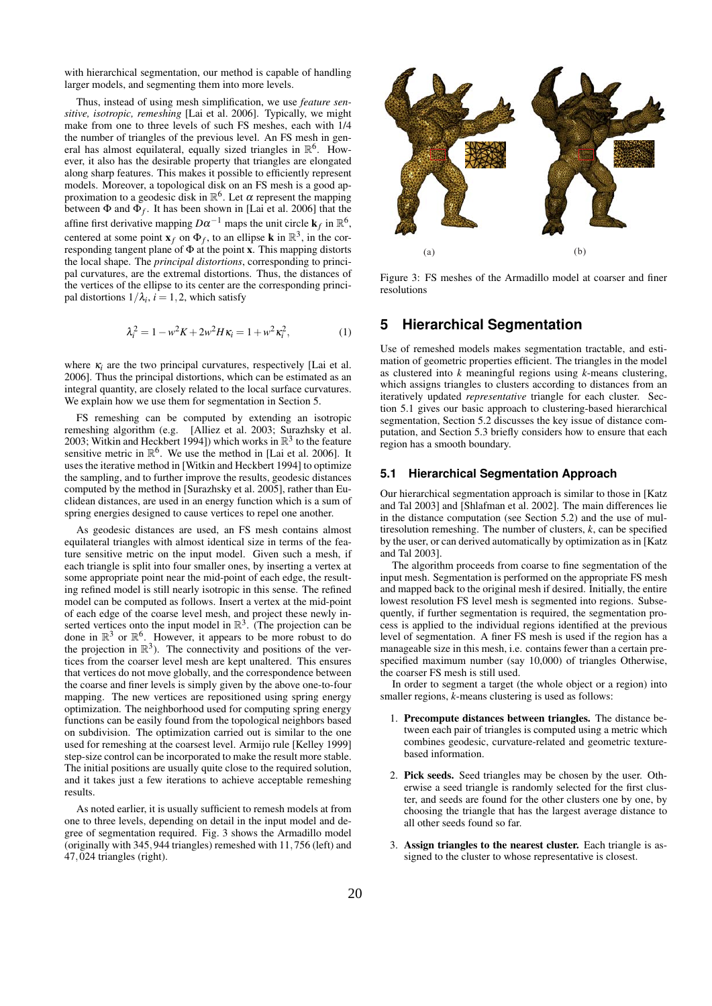with hierarchical segmentation, our method is capable of handling larger models, and segmenting them into more levels.

Thus, instead of using mesh simplification, we use *feature sensitive, isotropic, remeshing* [Lai et al. 2006]. Typically, we might make from one to three levels of such FS meshes, each with 1/4 the number of triangles of the previous level. An FS mesh in general has almost equilateral, equally sized triangles in  $\mathbb{R}^6$ . However, it also has the desirable property that triangles are elongated along sharp features. This makes it possible to efficiently represent models. Moreover, a topological disk on an FS mesh is a good approximation to a geodesic disk in  $\mathbb{R}^6$ . Let  $\alpha$  represent the mapping between  $\Phi$  and  $\Phi_f$ . It has been shown in [Lai et al. 2006] that the affine first derivative mapping  $D\alpha^{-1}$  maps the unit circle  $\mathbf{k}_f$  in  $\mathbb{R}^6$ , centered at some point  $\mathbf{x}_f$  on  $\Phi_f$ , to an ellipse **k** in  $\mathbb{R}^3$ , in the corresponding tangent plane of Φ at the point x. This mapping distorts the local shape. The *principal distortions*, corresponding to principal curvatures, are the extremal distortions. Thus, the distances of the vertices of the ellipse to its center are the corresponding principal distortions  $1/\lambda_i$ ,  $i = 1, 2$ , which satisfy

$$
\lambda_i^2 = 1 - w^2 K + 2w^2 H \kappa_i = 1 + w^2 \kappa_i^2, \tag{1}
$$

where  $\kappa_i$  are the two principal curvatures, respectively [Lai et al. 2006]. Thus the principal distortions, which can be estimated as an integral quantity, are closely related to the local surface curvatures. We explain how we use them for segmentation in Section 5.

FS remeshing can be computed by extending an isotropic remeshing algorithm (e.g. [Alliez et al. 2003; Surazhsky et al. 2003; Witkin and Heckbert 1994]) which works in  $\mathbb{R}^3$  to the feature sensitive metric in  $\mathbb{R}^6$ . We use the method in [Lai et al. 2006]. It uses the iterative method in [Witkin and Heckbert 1994] to optimize the sampling, and to further improve the results, geodesic distances computed by the method in [Surazhsky et al. 2005], rather than Euclidean distances, are used in an energy function which is a sum of spring energies designed to cause vertices to repel one another.

As geodesic distances are used, an FS mesh contains almost equilateral triangles with almost identical size in terms of the feature sensitive metric on the input model. Given such a mesh, if each triangle is split into four smaller ones, by inserting a vertex at some appropriate point near the mid-point of each edge, the resulting refined model is still nearly isotropic in this sense. The refined model can be computed as follows. Insert a vertex at the mid-point of each edge of the coarse level mesh, and project these newly inserted vertices onto the input model in  $\mathbb{R}^3$ . (The projection can be done in  $\mathbb{R}^3$  or  $\mathbb{R}^6$ . However, it appears to be more robust to do the projection in  $\mathbb{R}^3$ ). The connectivity and positions of the vertices from the coarser level mesh are kept unaltered. This ensures that vertices do not move globally, and the correspondence between the coarse and finer levels is simply given by the above one-to-four mapping. The new vertices are repositioned using spring energy optimization. The neighborhood used for computing spring energy functions can be easily found from the topological neighbors based on subdivision. The optimization carried out is similar to the one used for remeshing at the coarsest level. Armijo rule [Kelley 1999] step-size control can be incorporated to make the result more stable. The initial positions are usually quite close to the required solution, and it takes just a few iterations to achieve acceptable remeshing results.

As noted earlier, it is usually sufficient to remesh models at from one to three levels, depending on detail in the input model and degree of segmentation required. Fig. 3 shows the Armadillo model (originally with 345,944 triangles) remeshed with 11,756 (left) and 47,024 triangles (right).



Figure 3: FS meshes of the Armadillo model at coarser and finer resolutions

## **5 Hierarchical Segmentation**

Use of remeshed models makes segmentation tractable, and estimation of geometric properties efficient. The triangles in the model as clustered into *k* meaningful regions using *k*-means clustering, which assigns triangles to clusters according to distances from an iteratively updated *representative* triangle for each cluster. Section 5.1 gives our basic approach to clustering-based hierarchical segmentation, Section 5.2 discusses the key issue of distance computation, and Section 5.3 briefly considers how to ensure that each region has a smooth boundary.

#### **5.1 Hierarchical Segmentation Approach**

Our hierarchical segmentation approach is similar to those in [Katz and Tal 2003] and [Shlafman et al. 2002]. The main differences lie in the distance computation (see Section 5.2) and the use of multiresolution remeshing. The number of clusters, *k*, can be specified by the user, or can derived automatically by optimization as in [Katz and Tal 2003].

The algorithm proceeds from coarse to fine segmentation of the input mesh. Segmentation is performed on the appropriate FS mesh and mapped back to the original mesh if desired. Initially, the entire lowest resolution FS level mesh is segmented into regions. Subsequently, if further segmentation is required, the segmentation process is applied to the individual regions identified at the previous level of segmentation. A finer FS mesh is used if the region has a manageable size in this mesh, i.e. contains fewer than a certain prespecified maximum number (say 10,000) of triangles Otherwise, the coarser FS mesh is still used.

In order to segment a target (the whole object or a region) into smaller regions, *k*-means clustering is used as follows:

- 1. Precompute distances between triangles. The distance between each pair of triangles is computed using a metric which combines geodesic, curvature-related and geometric texturebased information.
- 2. Pick seeds. Seed triangles may be chosen by the user. Otherwise a seed triangle is randomly selected for the first cluster, and seeds are found for the other clusters one by one, by choosing the triangle that has the largest average distance to all other seeds found so far.
- 3. Assign triangles to the nearest cluster. Each triangle is assigned to the cluster to whose representative is closest.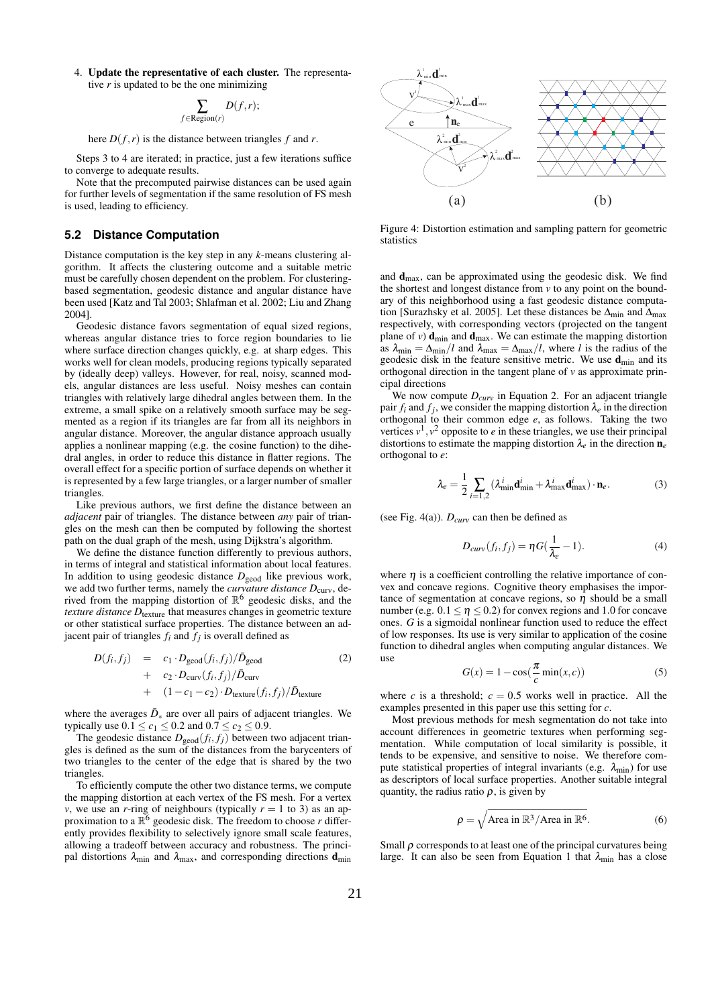4. Update the representative of each cluster. The representative  $r$  is updated to be the one minimizing

$$
\sum_{f \in \text{Region}(r)} D(f, r);
$$

here  $D(f, r)$  is the distance between triangles  $f$  and  $r$ .

Steps 3 to 4 are iterated; in practice, just a few iterations suffice to converge to adequate results.

Note that the precomputed pairwise distances can be used again for further levels of segmentation if the same resolution of FS mesh is used, leading to efficiency.

#### **5.2 Distance Computation**

Distance computation is the key step in any *k*-means clustering algorithm. It affects the clustering outcome and a suitable metric must be carefully chosen dependent on the problem. For clusteringbased segmentation, geodesic distance and angular distance have been used [Katz and Tal 2003; Shlafman et al. 2002; Liu and Zhang 2004].

Geodesic distance favors segmentation of equal sized regions, whereas angular distance tries to force region boundaries to lie where surface direction changes quickly, e.g. at sharp edges. This works well for clean models, producing regions typically separated by (ideally deep) valleys. However, for real, noisy, scanned models, angular distances are less useful. Noisy meshes can contain triangles with relatively large dihedral angles between them. In the extreme, a small spike on a relatively smooth surface may be segmented as a region if its triangles are far from all its neighbors in angular distance. Moreover, the angular distance approach usually applies a nonlinear mapping (e.g. the cosine function) to the dihedral angles, in order to reduce this distance in flatter regions. The overall effect for a specific portion of surface depends on whether it is represented by a few large triangles, or a larger number of smaller triangles.

Like previous authors, we first define the distance between an *adjacent* pair of triangles. The distance between *any* pair of triangles on the mesh can then be computed by following the shortest path on the dual graph of the mesh, using Dijkstra's algorithm.

We define the distance function differently to previous authors, in terms of integral and statistical information about local features. In addition to using geodesic distance  $D_{\text{geod}}$  like previous work, we add two further terms, namely the *curvature distance*  $D_{\text{curv}}$ , derived from the mapping distortion of  $\mathbb{R}^6$  geodesic disks, and the *texture distance*  $D_{\text{texture}}$  that measures changes in geometric texture or other statistical surface properties. The distance between an adjacent pair of triangles  $f_i$  and  $f_j$  is overall defined as

$$
D(f_i, f_j) = c_1 \cdot D_{\text{geod}}(f_i, f_j) / \bar{D}_{\text{geod}}
$$
  
+ 
$$
c_2 \cdot D_{\text{curv}}(f_i, f_j) / \bar{D}_{\text{curv}}
$$
  
+ 
$$
(1 - c_1 - c_2) \cdot D_{\text{texture}}(f_i, f_j) / \bar{D}_{\text{texture}}
$$
 (2)

where the averages  $\bar{D}_*$  are over all pairs of adjacent triangles. We typically use  $0.1 \le c_1 \le 0.2$  and  $0.7 \le c_2 \le 0.9$ .

The geodesic distance  $D_{\text{geod}}(f_i, f_j)$  between two adjacent triangles is defined as the sum of the distances from the barycenters of two triangles to the center of the edge that is shared by the two triangles.

To efficiently compute the other two distance terms, we compute the mapping distortion at each vertex of the FS mesh. For a vertex *v*, we use an *r*-ring of neighbours (typically  $r = 1$  to 3) as an approximation to a R <sup>6</sup> geodesic disk. The freedom to choose *r* differently provides flexibility to selectively ignore small scale features, allowing a tradeoff between accuracy and robustness. The principal distortions  $\lambda_{\min}$  and  $\lambda_{\max}$ , and corresponding directions  $\mathbf{d}_{\min}$ 



Figure 4: Distortion estimation and sampling pattern for geometric statistics

and  $d_{\text{max}}$ , can be approximated using the geodesic disk. We find the shortest and longest distance from  $v$  to any point on the boundary of this neighborhood using a fast geodesic distance computation [Surazhsky et al. 2005]. Let these distances be  $\Delta_{\text{min}}$  and  $\Delta_{\text{max}}$ respectively, with corresponding vectors (projected on the tangent plane of *v*)  $\mathbf{d}_{\text{min}}$  and  $\mathbf{d}_{\text{max}}$ . We can estimate the mapping distortion as  $\lambda_{\text{min}} = \frac{\Delta_{\text{min}}}{l}$  and  $\lambda_{\text{max}} = \frac{\Delta_{\text{max}}}{l}$ , where *l* is the radius of the geodesic disk in the feature sensitive metric. We use  $\mathbf{d}_{\text{min}}$  and its orthogonal direction in the tangent plane of *v* as approximate principal directions

We now compute  $D_{curv}$  in Equation 2. For an adjacent triangle pair  $f_i$  and  $f_j$ , we consider the mapping distortion  $\lambda_e$  in the direction orthogonal to their common edge *e*, as follows. Taking the two vertices  $v^1$ ,  $v^2$  opposite to *e* in these triangles, we use their principal distortions to estimate the mapping distortion  $\lambda_e$  in the direction  $\mathbf{n}_e$ orthogonal to *e*:

$$
\lambda_e = \frac{1}{2} \sum_{i=1,2} (\lambda_{\min}^i \mathbf{d}_{\min}^i + \lambda_{\max}^i \mathbf{d}_{\max}^i) \cdot \mathbf{n}_e.
$$
 (3)

(see Fig. 4(a)).  $D_{curv}$  can then be defined as

$$
D_{curv}(f_i, f_j) = \eta G(\frac{1}{\lambda_e} - 1).
$$
 (4)

where  $\eta$  is a coefficient controlling the relative importance of convex and concave regions. Cognitive theory emphasises the importance of segmentation at concave regions, so  $\eta$  should be a small number (e.g.  $0.1 \le \eta \le 0.2$ ) for convex regions and 1.0 for concave ones. *G* is a sigmoidal nonlinear function used to reduce the effect of low responses. Its use is very similar to application of the cosine function to dihedral angles when computing angular distances. We use

$$
G(x) = 1 - \cos(\frac{\pi}{c}\min(x, c))
$$
 (5)

where *c* is a threshold;  $c = 0.5$  works well in practice. All the examples presented in this paper use this setting for *c*.

Most previous methods for mesh segmentation do not take into account differences in geometric textures when performing segmentation. While computation of local similarity is possible, it tends to be expensive, and sensitive to noise. We therefore compute statistical properties of integral invariants (e.g.  $\lambda_{\text{min}}$ ) for use as descriptors of local surface properties. Another suitable integral quantity, the radius ratio  $\rho$ , is given by

$$
\rho = \sqrt{\text{Area in } \mathbb{R}^3/\text{Area in } \mathbb{R}^6}.
$$
 (6)

Small  $\rho$  corresponds to at least one of the principal curvatures being large. It can also be seen from Equation 1 that  $\lambda_{\min}$  has a close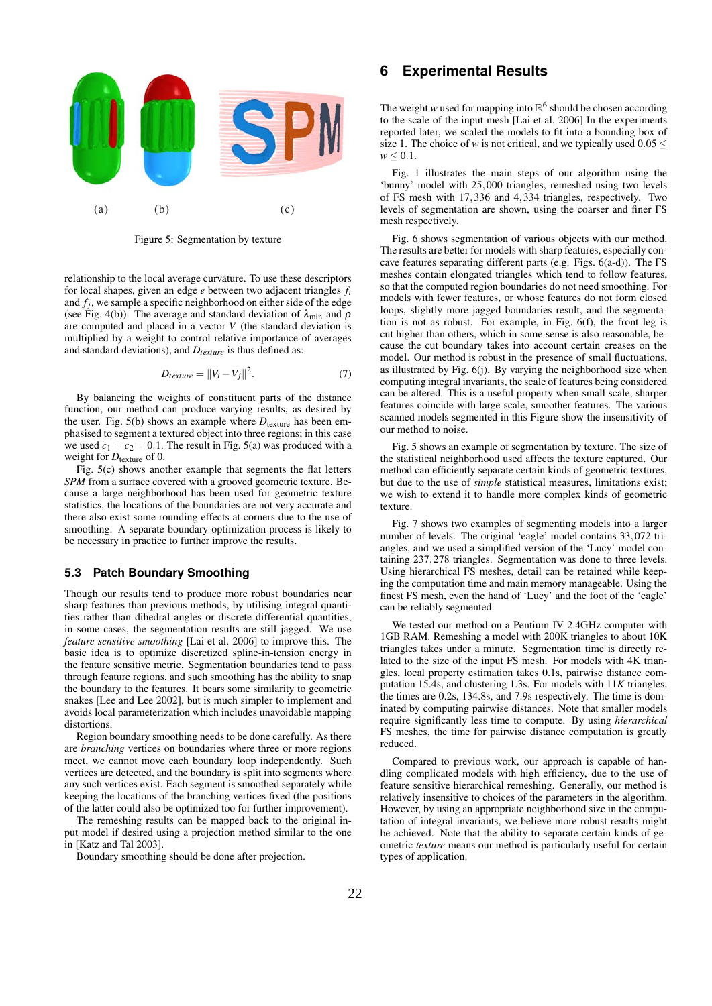

Figure 5: Segmentation by texture

relationship to the local average curvature. To use these descriptors for local shapes, given an edge *e* between two adjacent triangles *f<sup>i</sup>* and  $f_j$ , we sample a specific neighborhood on either side of the edge (see Fig. 4(b)). The average and standard deviation of  $\lambda_{\text{min}}$  and  $\rho$ are computed and placed in a vector *V* (the standard deviation is multiplied by a weight to control relative importance of averages and standard deviations), and *Dtexture* is thus defined as:

$$
D_{\text{texture}} = ||V_i - V_j||^2. \tag{7}
$$

By balancing the weights of constituent parts of the distance function, our method can produce varying results, as desired by the user. Fig.  $5(b)$  shows an example where  $D_{\text{texture}}$  has been emphasised to segment a textured object into three regions; in this case we used  $c_1 = c_2 = 0.1$ . The result in Fig. 5(a) was produced with a weight for  $D_{\text{texture}}$  of 0.

Fig. 5(c) shows another example that segments the flat letters *SPM* from a surface covered with a grooved geometric texture. Because a large neighborhood has been used for geometric texture statistics, the locations of the boundaries are not very accurate and there also exist some rounding effects at corners due to the use of smoothing. A separate boundary optimization process is likely to be necessary in practice to further improve the results.

#### **5.3 Patch Boundary Smoothing**

Though our results tend to produce more robust boundaries near sharp features than previous methods, by utilising integral quantities rather than dihedral angles or discrete differential quantities, in some cases, the segmentation results are still jagged. We use *feature sensitive smoothing* [Lai et al. 2006] to improve this. The basic idea is to optimize discretized spline-in-tension energy in the feature sensitive metric. Segmentation boundaries tend to pass through feature regions, and such smoothing has the ability to snap the boundary to the features. It bears some similarity to geometric snakes [Lee and Lee 2002], but is much simpler to implement and avoids local parameterization which includes unavoidable mapping distortions.

Region boundary smoothing needs to be done carefully. As there are *branching* vertices on boundaries where three or more regions meet, we cannot move each boundary loop independently. Such vertices are detected, and the boundary is split into segments where any such vertices exist. Each segment is smoothed separately while keeping the locations of the branching vertices fixed (the positions of the latter could also be optimized too for further improvement).

The remeshing results can be mapped back to the original input model if desired using a projection method similar to the one in [Katz and Tal 2003].

Boundary smoothing should be done after projection.

### **6 Experimental Results**

The weight *w* used for mapping into  $\mathbb{R}^6$  should be chosen according to the scale of the input mesh [Lai et al. 2006] In the experiments reported later, we scaled the models to fit into a bounding box of size 1. The choice of *w* is not critical, and we typically used  $0.05 \le$  $w \leq 0.1$ .

Fig. 1 illustrates the main steps of our algorithm using the 'bunny' model with 25,000 triangles, remeshed using two levels of FS mesh with 17,336 and 4,334 triangles, respectively. Two levels of segmentation are shown, using the coarser and finer FS mesh respectively.

Fig. 6 shows segmentation of various objects with our method. The results are better for models with sharp features, especially concave features separating different parts (e.g. Figs. 6(a-d)). The FS meshes contain elongated triangles which tend to follow features, so that the computed region boundaries do not need smoothing. For models with fewer features, or whose features do not form closed loops, slightly more jagged boundaries result, and the segmentation is not as robust. For example, in Fig. 6(f), the front leg is cut higher than others, which in some sense is also reasonable, because the cut boundary takes into account certain creases on the model. Our method is robust in the presence of small fluctuations, as illustrated by Fig. 6(j). By varying the neighborhood size when computing integral invariants, the scale of features being considered can be altered. This is a useful property when small scale, sharper features coincide with large scale, smoother features. The various scanned models segmented in this Figure show the insensitivity of our method to noise.

Fig. 5 shows an example of segmentation by texture. The size of the statistical neighborhood used affects the texture captured. Our method can efficiently separate certain kinds of geometric textures, but due to the use of *simple* statistical measures, limitations exist; we wish to extend it to handle more complex kinds of geometric texture.

Fig. 7 shows two examples of segmenting models into a larger number of levels. The original 'eagle' model contains 33,072 triangles, and we used a simplified version of the 'Lucy' model containing 237,278 triangles. Segmentation was done to three levels. Using hierarchical FS meshes, detail can be retained while keeping the computation time and main memory manageable. Using the finest FS mesh, even the hand of 'Lucy' and the foot of the 'eagle' can be reliably segmented.

We tested our method on a Pentium IV 2.4GHz computer with 1GB RAM. Remeshing a model with 200K triangles to about 10K triangles takes under a minute. Segmentation time is directly related to the size of the input FS mesh. For models with 4K triangles, local property estimation takes 0.1s, pairwise distance computation 15.4s, and clustering 1.3s. For models with 11*K* triangles, the times are 0.2s, 134.8s, and 7.9s respectively. The time is dominated by computing pairwise distances. Note that smaller models require significantly less time to compute. By using *hierarchical* FS meshes, the time for pairwise distance computation is greatly reduced.

Compared to previous work, our approach is capable of handling complicated models with high efficiency, due to the use of feature sensitive hierarchical remeshing. Generally, our method is relatively insensitive to choices of the parameters in the algorithm. However, by using an appropriate neighborhood size in the computation of integral invariants, we believe more robust results might be achieved. Note that the ability to separate certain kinds of geometric *texture* means our method is particularly useful for certain types of application.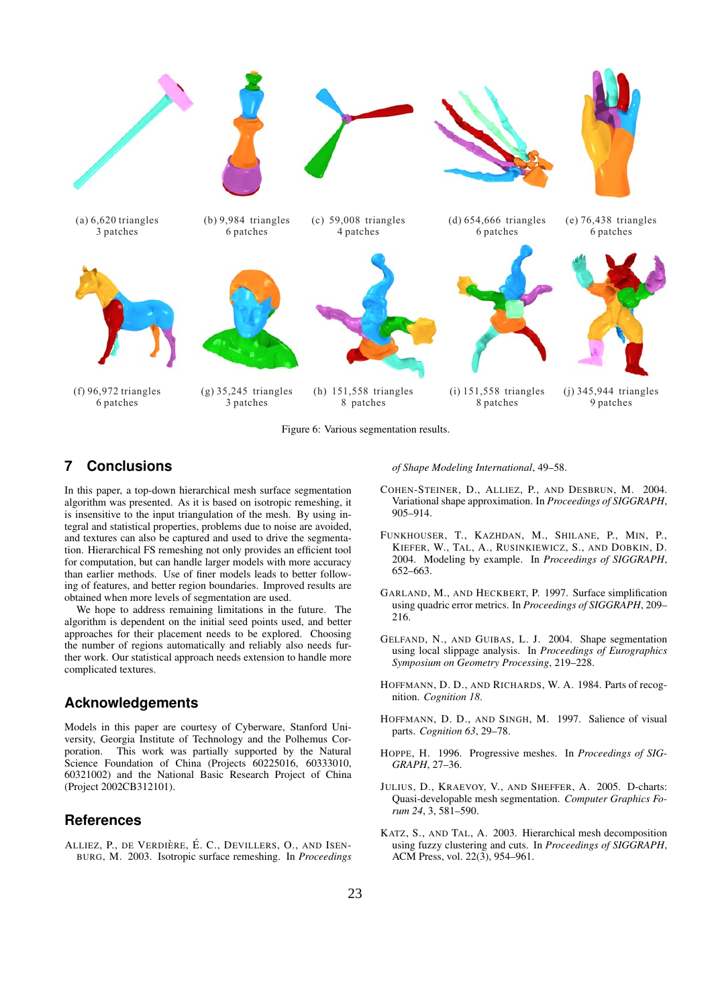

Figure 6: Various segmentation results.

# **7 Conclusions**

In this paper, a top-down hierarchical mesh surface segmentation algorithm was presented. As it is based on isotropic remeshing, it is insensitive to the input triangulation of the mesh. By using integral and statistical properties, problems due to noise are avoided, and textures can also be captured and used to drive the segmentation. Hierarchical FS remeshing not only provides an efficient tool for computation, but can handle larger models with more accuracy than earlier methods. Use of finer models leads to better following of features, and better region boundaries. Improved results are obtained when more levels of segmentation are used.

We hope to address remaining limitations in the future. The algorithm is dependent on the initial seed points used, and better approaches for their placement needs to be explored. Choosing the number of regions automatically and reliably also needs further work. Our statistical approach needs extension to handle more complicated textures.

### **Acknowledgements**

Models in this paper are courtesy of Cyberware, Stanford University, Georgia Institute of Technology and the Polhemus Cor-<br>poration. This work was partially supported by the Natural This work was partially supported by the Natural Science Foundation of China (Projects 60225016, 60333010, 60321002) and the National Basic Research Project of China (Project 2002CB312101).

### **References**

ALLIEZ, P., DE VERDIÈRE, É. C., DEVILLERS, O., AND ISEN-BURG, M. 2003. Isotropic surface remeshing. In *Proceedings* *of Shape Modeling International*, 49–58.

- COHEN-STEINER, D., ALLIEZ, P., AND DESBRUN, M. 2004. Variational shape approximation. In *Proceedings of SIGGRAPH*, 905–914.
- FUNKHOUSER, T., KAZHDAN, M., SHILANE, P., MIN, P., KIEFER, W., TAL, A., RUSINKIEWICZ, S., AND DOBKIN, D. 2004. Modeling by example. In *Proceedings of SIGGRAPH*, 652–663.
- GARLAND, M., AND HECKBERT, P. 1997. Surface simplification using quadric error metrics. In *Proceedings of SIGGRAPH*, 209– 216.
- GELFAND, N., AND GUIBAS, L. J. 2004. Shape segmentation using local slippage analysis. In *Proceedings of Eurographics Symposium on Geometry Processing*, 219–228.
- HOFFMANN, D. D., AND RICHARDS, W. A. 1984. Parts of recognition. *Cognition 18*.
- HOFFMANN, D. D., AND SINGH, M. 1997. Salience of visual parts. *Cognition 63*, 29–78.
- HOPPE, H. 1996. Progressive meshes. In *Proceedings of SIG-GRAPH*, 27–36.
- JULIUS, D., KRAEVOY, V., AND SHEFFER, A. 2005. D-charts: Quasi-developable mesh segmentation. *Computer Graphics Forum 24*, 3, 581–590.
- KATZ, S., AND TAL, A. 2003. Hierarchical mesh decomposition using fuzzy clustering and cuts. In *Proceedings of SIGGRAPH*, ACM Press, vol. 22(3), 954–961.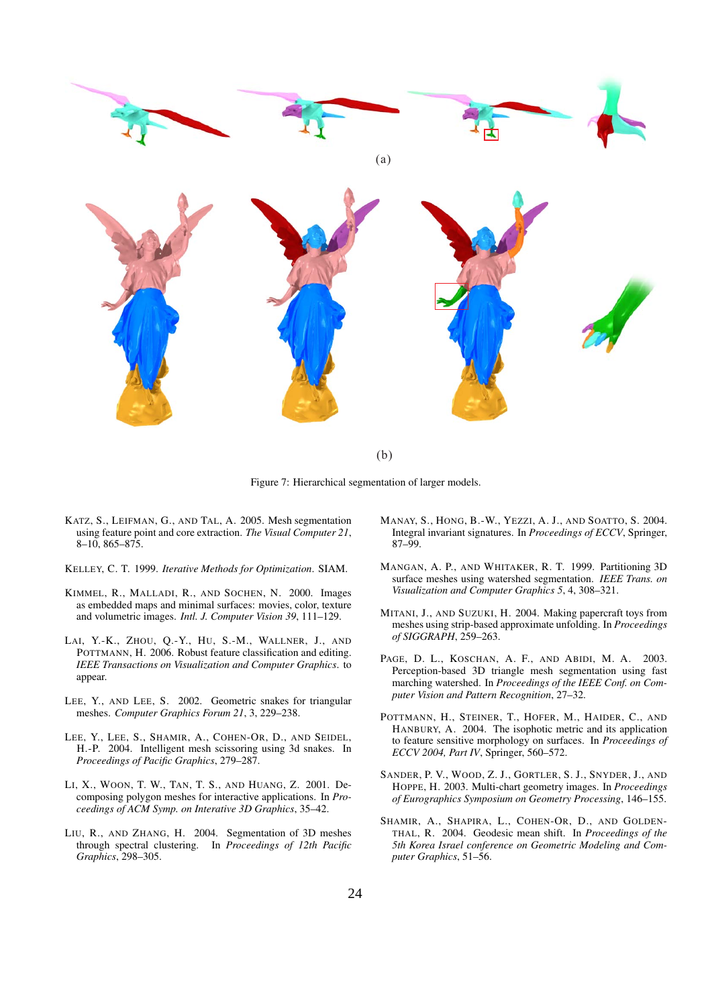

(b)

Figure 7: Hierarchical segmentation of larger models.

- KATZ, S., LEIFMAN, G., AND TAL, A. 2005. Mesh segmentation using feature point and core extraction. *The Visual Computer 21*, 8–10, 865–875.
- KELLEY, C. T. 1999. *Iterative Methods for Optimization*. SIAM.
- KIMMEL, R., MALLADI, R., AND SOCHEN, N. 2000. Images as embedded maps and minimal surfaces: movies, color, texture and volumetric images. *Intl. J. Computer Vision 39*, 111–129.
- LAI, Y.-K., ZHOU, Q.-Y., HU, S.-M., WALLNER, J., AND POTTMANN, H. 2006. Robust feature classification and editing. *IEEE Transactions on Visualization and Computer Graphics*. to appear.
- LEE, Y., AND LEE, S. 2002. Geometric snakes for triangular meshes. *Computer Graphics Forum 21*, 3, 229–238.
- LEE, Y., LEE, S., SHAMIR, A., COHEN-OR, D., AND SEIDEL, H.-P. 2004. Intelligent mesh scissoring using 3d snakes. In *Proceedings of Pacific Graphics*, 279–287.
- LI, X., WOON, T. W., TAN, T. S., AND HUANG, Z. 2001. Decomposing polygon meshes for interactive applications. In *Proceedings of ACM Symp. on Interative 3D Graphics*, 35–42.
- LIU, R., AND ZHANG, H. 2004. Segmentation of 3D meshes through spectral clustering. In *Proceedings of 12th Pacific Graphics*, 298–305.
- MANAY, S., HONG, B.-W., YEZZI, A. J., AND SOATTO, S. 2004. Integral invariant signatures. In *Proceedings of ECCV*, Springer, 87–99.
- MANGAN, A. P., AND WHITAKER, R. T. 1999. Partitioning 3D surface meshes using watershed segmentation. *IEEE Trans. on Visualization and Computer Graphics 5*, 4, 308–321.
- MITANI, J., AND SUZUKI, H. 2004. Making papercraft toys from meshes using strip-based approximate unfolding. In *Proceedings of SIGGRAPH*, 259–263.
- PAGE, D. L., KOSCHAN, A. F., AND ABIDI, M. A. 2003. Perception-based 3D triangle mesh segmentation using fast marching watershed. In *Proceedings of the IEEE Conf. on Computer Vision and Pattern Recognition*, 27–32.
- POTTMANN, H., STEINER, T., HOFER, M., HAIDER, C., AND HANBURY, A. 2004. The isophotic metric and its application to feature sensitive morphology on surfaces. In *Proceedings of ECCV 2004, Part IV*, Springer, 560–572.
- SANDER, P. V., WOOD, Z. J., GORTLER, S. J., SNYDER, J., AND HOPPE, H. 2003. Multi-chart geometry images. In *Proceedings of Eurographics Symposium on Geometry Processing*, 146–155.
- SHAMIR, A., SHAPIRA, L., COHEN-OR, D., AND GOLDEN-THAL, R. 2004. Geodesic mean shift. In *Proceedings of the 5th Korea Israel conference on Geometric Modeling and Computer Graphics*, 51–56.